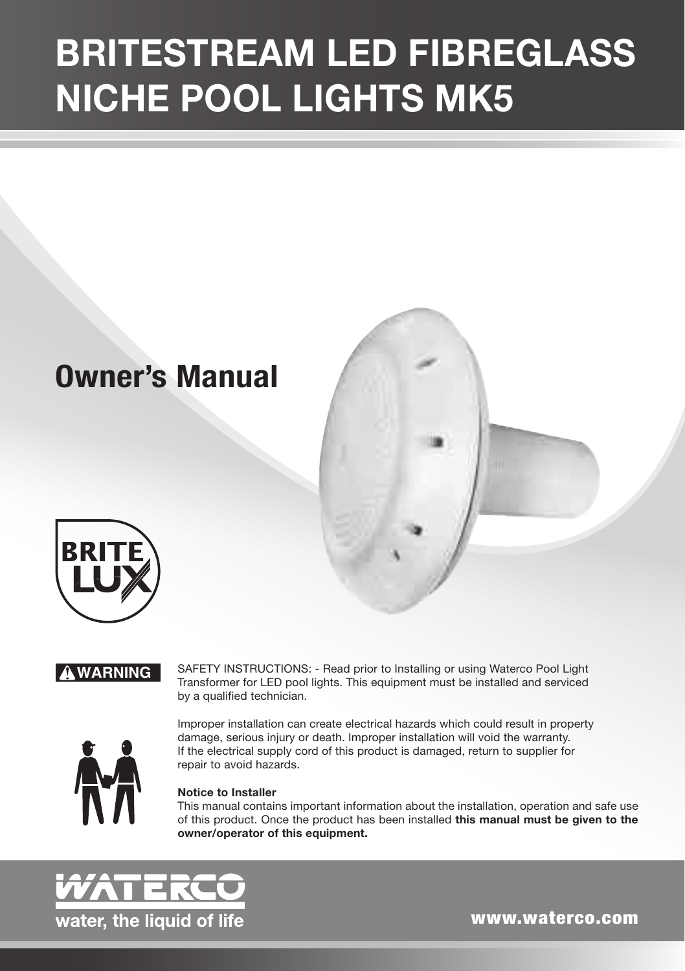# BRITESTREAM LED FIBREGLASS NICHE POOL LIGHTS MK5

## **Owner's Manual**



#### ! **WARNING**

SAFETY INSTRUCTIONS: - Read prior to Installing or using Waterco Pool Light Transformer for LED pool lights. This equipment must be installed and serviced by a qualified technician.



Improper installation can create electrical hazards which could result in property damage, serious injury or death. Improper installation will void the warranty. If the electrical supply cord of this product is damaged, return to supplier for repair to avoid hazards.

#### **Notice to Installer**

This manual contains important information about the installation, operation and safe use of this product. Once the product has been installed **this manual must be given to the owner/operator of this equipment.**



www.waterco.com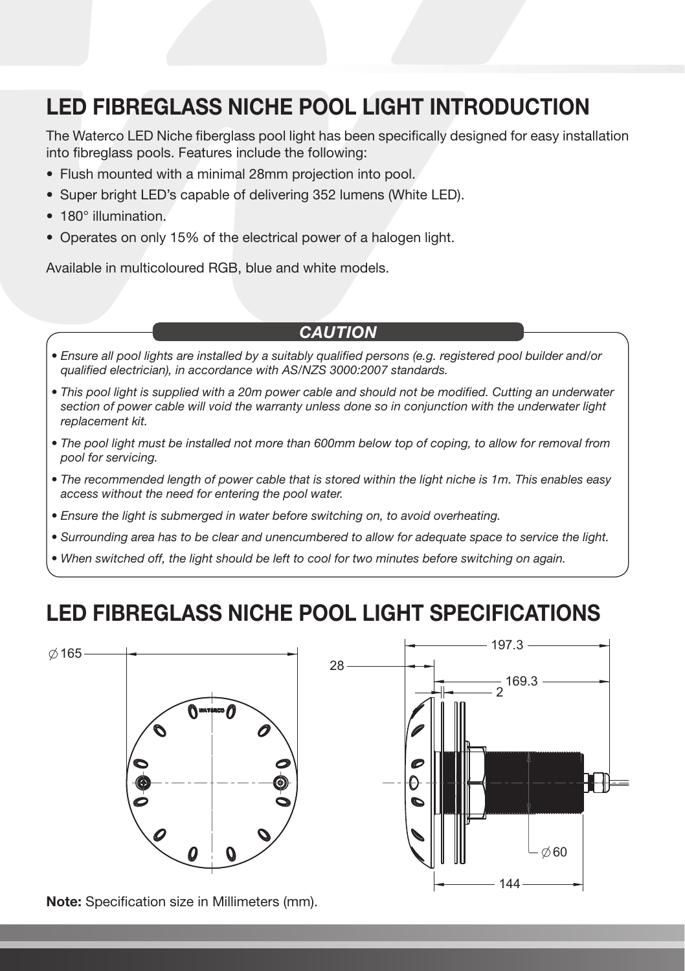### LED FIBREGLASS NICHE POOL LIGHT INTRODUCTION

The Waterco LED Niche fiberglass pool light has been specifically designed for easy installation into fibreglass pools. Features include the following:

- Flush mounted with a minimal 28mm projection into pool.
- Super bright LED's capable of delivering 352 lumens (White LED).
- 180° illumination.
- Operates on only 15% of the electrical power of a halogen light.

Available in multicoloured RGB, blue and white models.

#### *Caution*

- *• Ensure all pool lights are installed by a suitably qualified persons (e.g. registered pool builder and/or qualified electrician), in accordance with AS/NZS 3000:2007 standards.*
- *• This pool light is supplied with a 20m power cable and should not be modified. Cutting an underwater section of power cable will void the warranty unless done so in conjunction with the underwater light replacement kit.*
- *• The pool light must be installed not more than 600mm below top of coping, to allow for removal from pool for servicing.*
- *• The recommended length of power cable that is stored within the light niche is 1m. This enables easy access without the need for entering the pool water.*
- *• Ensure the light is submerged in water before switching on, to avoid overheating.*
- *• Surrounding area has to be clear and unencumbered to allow for adequate space to service the light.*
- *• When switched off, the light should be left to cool for two minutes before switching on again.*

#### LED FIBREGLASS NICHE POOL LIGHT SPECIFICATIONS



Note: Specification size in Millimeters (mm).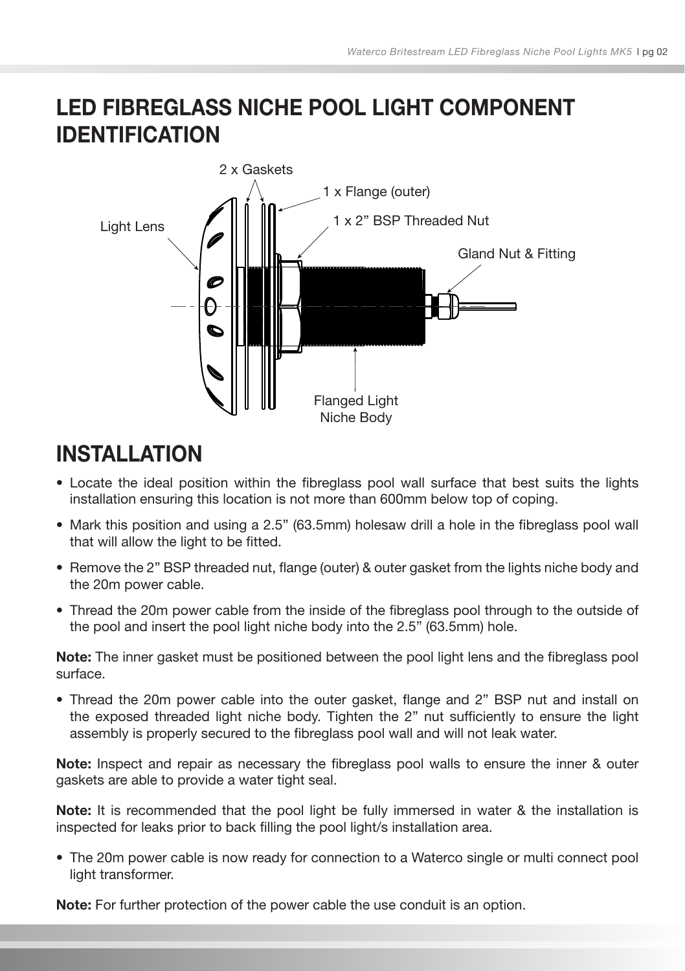### LED FIBREGLASS NICHE POOL LIGHT COMPONENT IDENTIFICATION



### **INSTALLATION**

- Locate the ideal position within the fibreglass pool wall surface that best suits the lights installation ensuring this location is not more than 600mm below top of coping.
- Mark this position and using a 2.5" (63.5mm) holesaw drill a hole in the fibreglass pool wall that will allow the light to be fitted.
- Remove the 2" BSP threaded nut, flange (outer) & outer gasket from the lights niche body and the 20m power cable.
- Thread the 20m power cable from the inside of the fibreglass pool through to the outside of the pool and insert the pool light niche body into the 2.5" (63.5mm) hole.

Note: The inner gasket must be positioned between the pool light lens and the fibreglass pool surface.

• Thread the 20m power cable into the outer gasket, flange and 2" BSP nut and install on the exposed threaded light niche body. Tighten the 2" nut sufficiently to ensure the light assembly is properly secured to the fibreglass pool wall and will not leak water.

Note: Inspect and repair as necessary the fibreglass pool walls to ensure the inner & outer gaskets are able to provide a water tight seal.

Note: It is recommended that the pool light be fully immersed in water & the installation is inspected for leaks prior to back filling the pool light/s installation area.

• The 20m power cable is now ready for connection to a Waterco single or multi connect pool light transformer.

Note: For further protection of the power cable the use conduit is an option.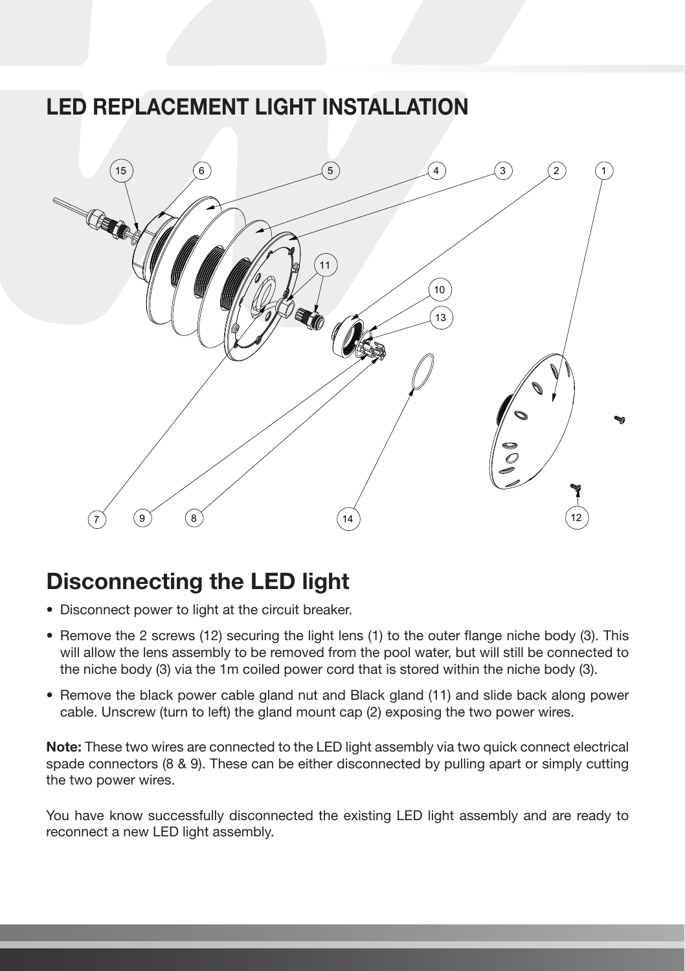#### LED REPLACEMENT LIGHT INSTALLATION



#### Disconnecting the LED light

- Disconnect power to light at the circuit breaker.
- Remove the 2 screws (12) securing the light lens (1) to the outer flange niche body (3). This will allow the lens assembly to be removed from the pool water, but will still be connected to the niche body (3) via the 1m coiled power cord that is stored within the niche body (3).
- Remove the black power cable gland nut and Black gland (11) and slide back along power cable. Unscrew (turn to left) the gland mount cap (2) exposing the two power wires.

Note: These two wires are connected to the LED light assembly via two quick connect electrical spade connectors (8 & 9). These can be either disconnected by pulling apart or simply cutting the two power wires.

You have know successfully disconnected the existing LED light assembly and are ready to reconnect a new LED light assembly.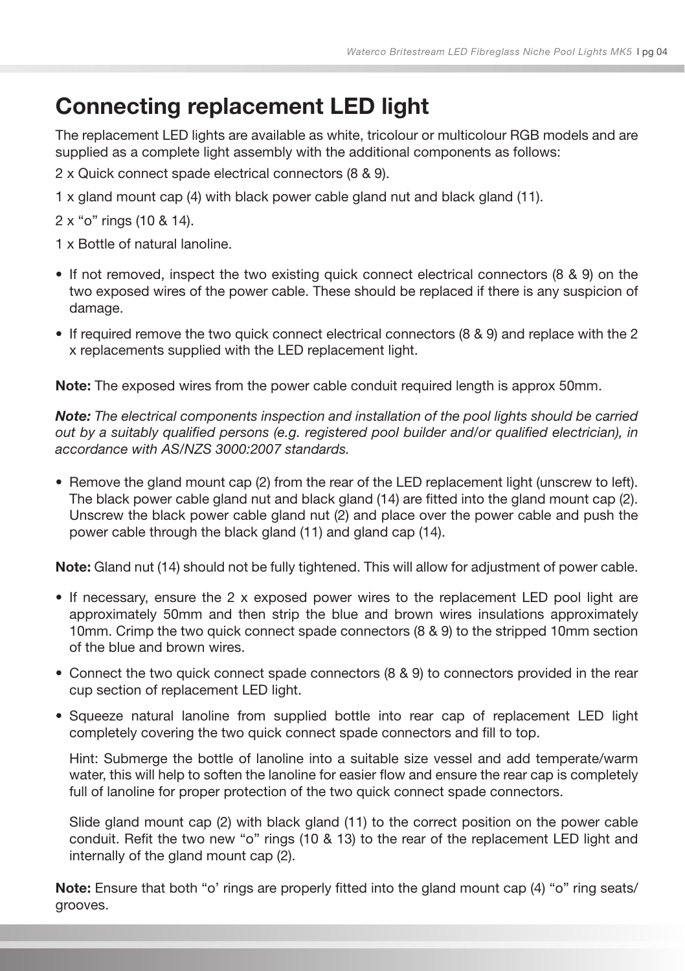### Connecting replacement LED light

The replacement LED lights are available as white, tricolour or multicolour RGB models and are supplied as a complete light assembly with the additional components as follows:

2 x Quick connect spade electrical connectors (8 & 9).

1 x gland mount cap (4) with black power cable gland nut and black gland (11).

2 x "o" rings (10 & 14).

1 x Bottle of natural lanoline.

- If not removed, inspect the two existing quick connect electrical connectors (8 & 9) on the two exposed wires of the power cable. These should be replaced if there is any suspicion of damage.
- If required remove the two quick connect electrical connectors (8 & 9) and replace with the 2 x replacements supplied with the LED replacement light.

Note: The exposed wires from the power cable conduit required length is approx 50mm.

*Note: The electrical components inspection and installation of the pool lights should be carried out by a suitably qualified persons (e.g. registered pool builder and/or qualified electrician), in accordance with AS/NZS 3000:2007 standards.*

• Remove the gland mount cap (2) from the rear of the LED replacement light (unscrew to left). The black power cable gland nut and black gland (14) are fitted into the gland mount cap (2). Unscrew the black power cable gland nut (2) and place over the power cable and push the power cable through the black gland (11) and gland cap (14).

Note: Gland nut (14) should not be fully tightened. This will allow for adjustment of power cable.

- If necessary, ensure the 2 x exposed power wires to the replacement LED pool light are approximately 50mm and then strip the blue and brown wires insulations approximately 10mm. Crimp the two quick connect spade connectors (8 & 9) to the stripped 10mm section of the blue and brown wires.
- Connect the two quick connect spade connectors (8 & 9) to connectors provided in the rear cup section of replacement LED light.
- Squeeze natural lanoline from supplied bottle into rear cap of replacement LED light completely covering the two quick connect spade connectors and fill to top.

Hint: Submerge the bottle of lanoline into a suitable size vessel and add temperate/warm water, this will help to soften the lanoline for easier flow and ensure the rear cap is completely full of lanoline for proper protection of the two quick connect spade connectors.

Slide gland mount cap (2) with black gland (11) to the correct position on the power cable conduit. Refit the two new "o" rings (10 & 13) to the rear of the replacement LED light and internally of the gland mount cap (2).

Note: Ensure that both "o' rings are properly fitted into the gland mount cap (4) "o" ring seats/ grooves.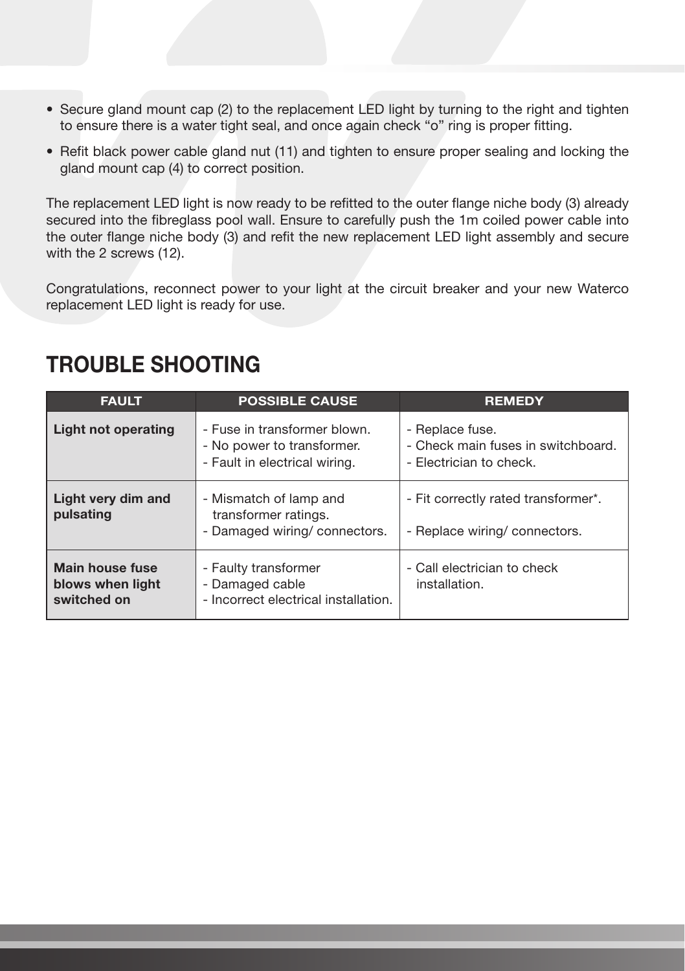- Secure gland mount cap (2) to the replacement LED light by turning to the right and tighten to ensure there is a water tight seal, and once again check "o" ring is proper fitting.
- Refit black power cable gland nut (11) and tighten to ensure proper sealing and locking the gland mount cap (4) to correct position.

The replacement LED light is now ready to be refitted to the outer flange niche body (3) already secured into the fibreglass pool wall. Ensure to carefully push the 1m coiled power cable into the outer flange niche body (3) and refit the new replacement LED light assembly and secure with the 2 screws (12).

Congratulations, reconnect power to your light at the circuit breaker and your new Waterco replacement LED light is ready for use.

| <b>FAULT</b>                                       | <b>POSSIBLE CAUSE</b>                                                                       | <b>REMEDY</b>                                                                    |
|----------------------------------------------------|---------------------------------------------------------------------------------------------|----------------------------------------------------------------------------------|
| Light not operating                                | - Fuse in transformer blown.<br>- No power to transformer.<br>- Fault in electrical wiring. | - Replace fuse.<br>- Check main fuses in switchboard.<br>- Electrician to check. |
| Light very dim and<br>pulsating                    | - Mismatch of lamp and<br>transformer ratings.<br>- Damaged wiring/ connectors.             | - Fit correctly rated transformer*.<br>- Replace wiring/ connectors.             |
| Main house fuse<br>blows when light<br>switched on | - Faulty transformer<br>- Damaged cable<br>- Incorrect electrical installation.             | - Call electrician to check<br>installation.                                     |

#### TROUBLE SHOOTING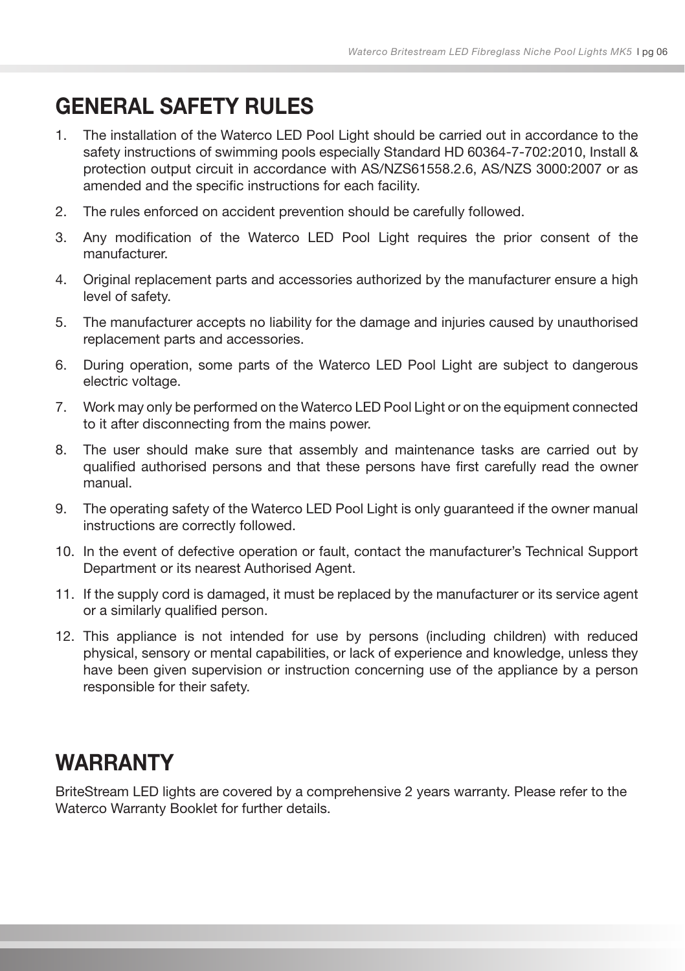### GENERAL SAFETY RULES

- 1. The installation of the Waterco LED Pool Light should be carried out in accordance to the safety instructions of swimming pools especially Standard HD 60364-7-702:2010, Install & protection output circuit in accordance with AS/NZS61558.2.6, AS/NZS 3000:2007 or as amended and the specific instructions for each facility.
- 2. The rules enforced on accident prevention should be carefully followed.
- 3. Any modification of the Waterco LED Pool Light requires the prior consent of the manufacturer.
- 4. Original replacement parts and accessories authorized by the manufacturer ensure a high level of safety.
- 5. The manufacturer accepts no liability for the damage and injuries caused by unauthorised replacement parts and accessories.
- 6. During operation, some parts of the Waterco LED Pool Light are subject to dangerous electric voltage.
- 7. Work may only be performed on the Waterco LED Pool Light or on the equipment connected to it after disconnecting from the mains power.
- 8. The user should make sure that assembly and maintenance tasks are carried out by qualified authorised persons and that these persons have first carefully read the owner manual.
- 9. The operating safety of the Waterco LED Pool Light is only guaranteed if the owner manual instructions are correctly followed.
- 10. In the event of defective operation or fault, contact the manufacturer's Technical Support Department or its nearest Authorised Agent.
- 11. If the supply cord is damaged, it must be replaced by the manufacturer or its service agent or a similarly qualified person.
- 12. This appliance is not intended for use by persons (including children) with reduced physical, sensory or mental capabilities, or lack of experience and knowledge, unless they have been given supervision or instruction concerning use of the appliance by a person responsible for their safety.

#### WARRANTY

BriteStream LED lights are covered by a comprehensive 2 years warranty. Please refer to the Waterco Warranty Booklet for further details.